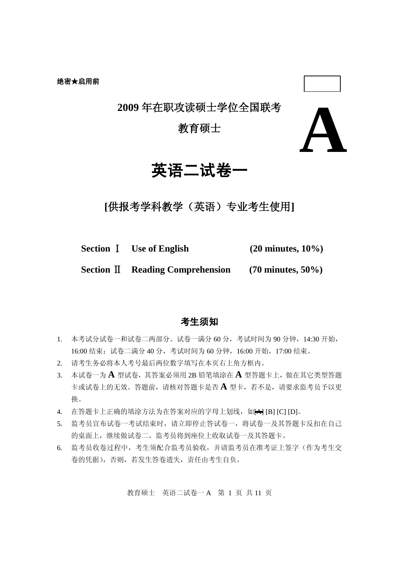**2009** 年在职攻读硕士学位全国联考

### 教育硕士



## 英语二试卷一

**[**供报考学科教学(英语)专业考生使用**]**

**Section** Ⅰ **Use of English (20 minutes, 10%)**

**Section** Ⅱ **Reading Comprehension (70 minutes, 50%)**

### 考生须知

- 1. 本考试分试卷一和试卷二两部分。试卷一满分 60 分,考试时间为 90 分钟,14:30 开始, 16:00 结束;试卷二满分 40 分,考试时间为 60 分钟,16:00 开始,17:00 结束。
- 2. 请考生务必将本人考号最后两位数字填写在本页右上角方框内。
- 3. 本试卷一为 **A** 型试卷,其答案必须用 2B 铅笔填涂在 **A** 型答题卡上,做在其它类型答题 卡或试卷上的无效。答题前,请核对答题卡是否 **A** 型卡,若不是,请要求监考员予以更 换。
- 4. 在答题卡上正确的填涂方法为在答案对应的字母上划线,如HHI [B] [C] [D]。
- 5. 监考员宣布试卷一考试结束时,请立即停止答试卷一,将试卷一及其答题卡反扣在自己 的桌面上, 继续做试卷二。监考员将到座位上收取试卷一及其答题卡。
- 6. 监考员收卷过程中,考生须配合监考员验收,并请监考员在准考证上签字(作为考生交 卷的凭据),否则,若发生答卷遗失,责任由考生自负。

教育硕士 英语二试卷一 A 第 1 页 共 11 页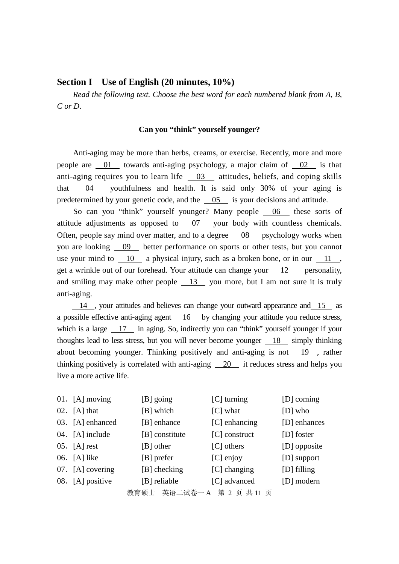### **Section I Use of English (20 minutes, 10%)**

*Read the following text. Choose the best word for each numbered blank from A, B, C or D*.

#### **Can you "think" yourself younger?**

Anti-aging may be more than herbs, creams, or exercise. Recently, more and more people are 01 towards anti-aging psychology, a major claim of 02 is that anti-aging requires you to learn life  $\frac{03}{100}$  attitudes, beliefs, and coping skills that 04 youthfulness and health. It is said only 30% of your aging is predetermined by your genetic code, and the 05 is your decisions and attitude.

So can you "think" yourself younger? Many people 06 these sorts of attitude adjustments as opposed to 07 your body with countless chemicals. Often, people say mind over matter, and to a degree 08 psychology works when you are looking 09 better performance on sports or other tests, but you cannot use your mind to  $\frac{10}{10}$  a physical injury, such as a broken bone, or in our  $\frac{11}{10}$ , get a wrinkle out of our forehead. Your attitude can change your 12 personality, and smiling may make other people 13 you more, but I am not sure it is truly anti-aging.

 $14$ , your attitudes and believes can change your outward appearance and 15 as a possible effective anti-aging agent 16 by changing your attitude you reduce stress, which is a large 17 in aging. So, indirectly you can "think" yourself younger if your thoughts lead to less stress, but you will never become younger 18 simply thinking about becoming younger. Thinking positively and anti-aging is not  $\frac{19}{ }$ , rather thinking positively is correlated with anti-aging 20 it reduces stress and helps you live a more active life.

| 01. $[A]$ moving | [B] going                  | [C] turning     | [D] coming    |
|------------------|----------------------------|-----------------|---------------|
| $02.$ [A] that   | [B] which                  | $[C]$ what      | $[D]$ who     |
| 03. [A] enhanced | [B] enhance                | $[C]$ enhancing | [D] enhances  |
| 04. [A] include  | [B] constitute             | $[C]$ construct | [D] foster    |
| $05.$ [A] rest   | [B] other                  | $[C]$ others    | [D] opposite  |
| 06. [A] like     | [B] prefer                 | $[C]$ enjoy     | [D] support   |
| 07. [A] covering | [B] checking               | [C] changing    | $[D]$ filling |
| 08. [A] positive | [B] reliable               | [C] advanced    | [D] modern    |
|                  | 教育硕士 英语二试卷一 A 第 2 页 共 11 页 |                 |               |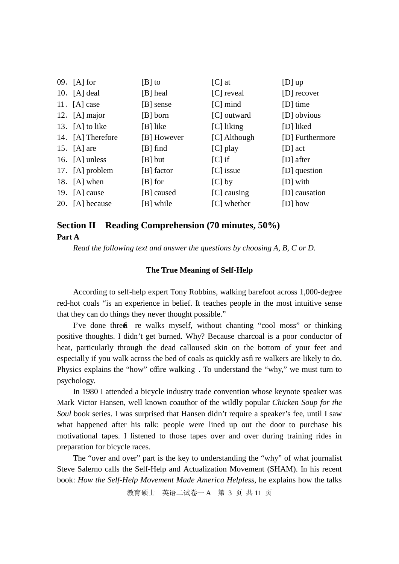| 09. $[A]$ for     | $[B]$ to    | $[C]$ at      | $[D]$ up        |
|-------------------|-------------|---------------|-----------------|
| 10. $[A]$ deal    | [B] heal    | [C] reveal    | $[D]$ recover   |
| 11. $[A]$ case    | [B] sense   | $[C]$ mind    | $[D]$ time      |
| 12. [A] major     | [B] born    | [C] outward   | [D] obvious     |
| 13. $[A]$ to like | [B] like    | [C] liking    | [D] liked       |
| 14. [A] Therefore | [B] However | [C] Although  | [D] Furthermore |
| 15. $[A]$ are     | $[B]$ find  | [C] play      | $[D]$ act       |
| 16. $[A]$ unless  | $[B]$ but   | $ C $ if      | $[D]$ after     |
| 17. [A] problem   | [B] factor  | $[C]$ issue   | [D] question    |
| 18. $[A]$ when    | $[B]$ for   | $[C]$ by      | [D] with        |
| 19. $[A]$ cause   | [B] caused  | $[C]$ causing | [D] causation   |
| 20. [A] because   | [B] while   | [C] whether   | [D] how         |

### **Section II Reading Comprehension (70 minutes, 50%) Part A**

*Read the following text and answer the questions by choosing A, B, C or D.*

### **The True Meaning of Self-Help**

According to self-help expert Tony Robbins, walking barefoot across 1,000-degree red-hot coals "is an experience in belief. It teaches people in the most intuitive sense that they can do things they never thought possible."

I've done three fre walks myself, without chanting "cool moss" or thinking positive thoughts. I didn't get burned. Why? Because charcoal is a poor conductor of heat, particularly through the dead calloused skin on the bottom of your feet and especially if you walk across the bed of coals as quickly as fi re walkers are likely to do. Physics explains the "how" offire walking. To understand the "why," we must turn to psychology.

In 1980 I attended a bicycle industry trade convention whose keynote speaker was Mark Victor Hansen, well known coauthor of the wildly popular *Chicken Soup for the Soul* book series. I was surprised that Hansen didn't require a speaker's fee, until I saw what happened after his talk: people were lined up out the door to purchase his motivational tapes. I listened to those tapes over and over during training rides in preparation for bicycle races.

The "over and over" part is the key to understanding the "why" of what journalist Steve Salerno calls the Self-Help and Actualization Movement (SHAM). In his recent book: *How the Self-Help Movement Made America Helpless*, he explains how the talks

教育硕士 英语二试卷一 A 第 3 页 共 11 页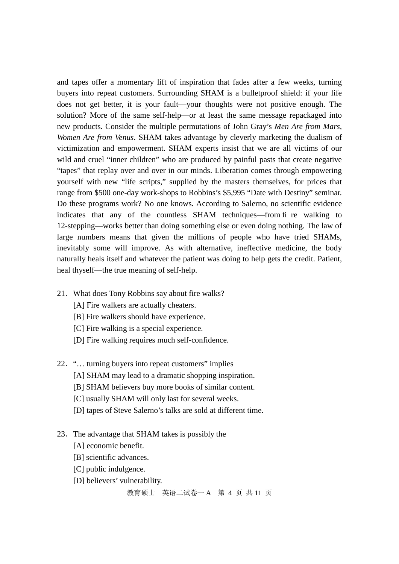and tapes offer a momentary lift of inspiration that fades after a few weeks, turning buyers into repeat customers. Surrounding SHAM is a bulletproof shield: if your life does not get better, it is your fault—your thoughts were not positive enough. The solution? More of the same self-help—or at least the same message repackaged into new products. Consider the multiple permutations of John Gray's *Men Are from Mars, Women Are from Venus*. SHAM takes advantage by cleverly marketing the dualism of victimization and empowerment. SHAM experts insist that we are all victims of our wild and cruel "inner children" who are produced by painful pasts that create negative "tapes" that replay over and over in our minds. Liberation comes through empowering yourself with new "life scripts," supplied by the masters themselves, for prices that range from \$500 one-day work-shops to Robbins's \$5,995 "Date with Destiny" seminar. Do these programs work? No one knows. According to Salerno, no scientific evidence indicates that any of the countless SHAM techniques—from fi re walking to 12-stepping—works better than doing something else or even doing nothing. The law of large numbers means that given the millions of people who have tried SHAMs, inevitably some will improve. As with alternative, ineffective medicine, the body naturally heals itself and whatever the patient was doing to help gets the credit. Patient, heal thyself—the true meaning of self-help.

- 21.What does Tony Robbins say about fire walks?
	- [A] Fire walkers are actually cheaters.
	- [B] Fire walkers should have experience.
	- [C] Fire walking is a special experience.
	- [D] Fire walking requires much self-confidence.
- 22."… turning buyers into repeat customers" implies
	- [A] SHAM may lead to a dramatic shopping inspiration.
	- [B] SHAM believers buy more books of similar content.
	- [C] usually SHAM will only last for several weeks.
	- [D] tapes of Steve Salerno's talks are sold at different time.
- 23.The advantage that SHAM takes is possibly the
	- [A] economic benefit.
	- [B] scientific advances.
	- [C] public indulgence.
	- [D] believers' vulnerability.

教育硕士 英语二试卷一 A 第 4 页 共 11 页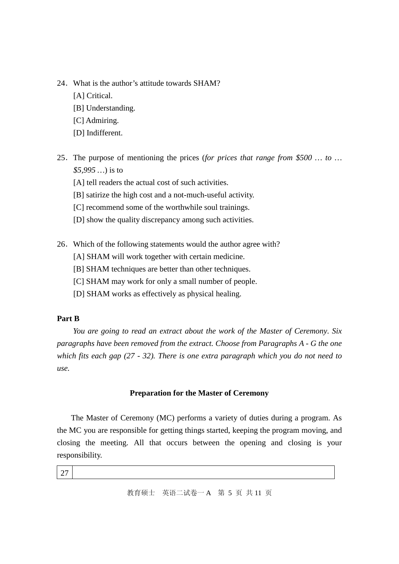- 24.What is the author's attitude towards SHAM?
	- [A] Critical.
	- [B] Understanding.
	- [C] Admiring.
	- [D] Indifferent.
- 25.The purpose of mentioning the prices (*for prices that range from \$500 … to … \$5,995 …*) is to
	- [A] tell readers the actual cost of such activities.
	- [B] satirize the high cost and a not-much-useful activity.
	- [C] recommend some of the worthwhile soul trainings.
	- [D] show the quality discrepancy among such activities.
- 26.Which of the following statements would the author agree with?
	- [A] SHAM will work together with certain medicine.
	- [B] SHAM techniques are better than other techniques.
	- [C] SHAM may work for only a small number of people.
	- [D] SHAM works as effectively as physical healing.

### **Part B**

*You are going to read an extract about the work of the Master of Ceremony*. *Six paragraphs have been removed from the extract. Choose from Paragraphs A - G the one which fits each gap (27 - 32). There is one extra paragraph which you do not need to use.*

### **Preparation for the Master of Ceremony**

The Master of Ceremony (MC) performs a variety of duties during a program. As the MC you are responsible for getting things started, keeping the program moving, and closing the meeting. All that occurs between the opening and closing is your responsibility.

27

教育硕士 英语二试卷一 A 第 5 页 共 11 页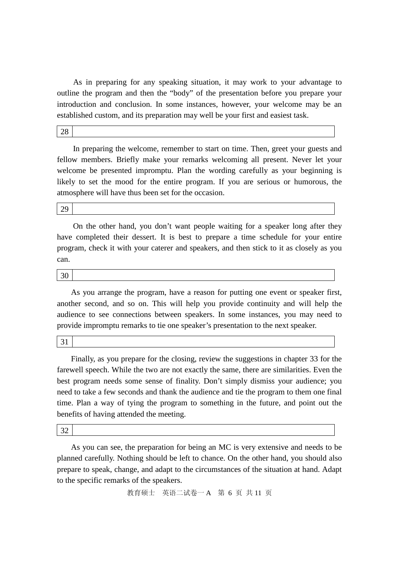As in preparing for any speaking situation, it may work to your advantage to outline the program and then the "body" of the presentation before you prepare your introduction and conclusion. In some instances, however, your welcome may be an established custom, and its preparation may well be your first and easiest task.

28

In preparing the welcome, remember to start on time. Then, greet your guests and fellow members. Briefly make your remarks welcoming all present. Never let your welcome be presented impromptu. Plan the wording carefully as your beginning is likely to set the mood for the entire program. If you are serious or humorous, the atmosphere will have thus been set for the occasion.

29

On the other hand, you don't want people waiting for a speaker long after they have completed their dessert. It is best to prepare a time schedule for your entire program, check it with your caterer and speakers, and then stick to it as closely as you can.

30

As you arrange the program, have a reason for putting one event or speaker first, another second, and so on. This will help you provide continuity and will help the audience to see connections between speakers. In some instances, you may need to provide impromptu remarks to tie one speaker's presentation to the next speaker.

31

Finally, as you prepare for the closing, review the suggestions in chapter 33 for the farewell speech. While the two are not exactly the same, there are similarities. Even the best program needs some sense of finality. Don't simply dismiss your audience; you need to take a few seconds and thank the audience and tie the program to them one final time. Plan a way of tying the program to something in the future, and point out the benefits of having attended the meeting.

32

As you can see, the preparation for being an MC is very extensive and needs to be planned carefully. Nothing should be left to chance. On the other hand, you should also prepare to speak, change, and adapt to the circumstances of the situation at hand. Adapt to the specific remarks of the speakers.

教育硕士 英语二试卷一 A 第 6 页 共 11 页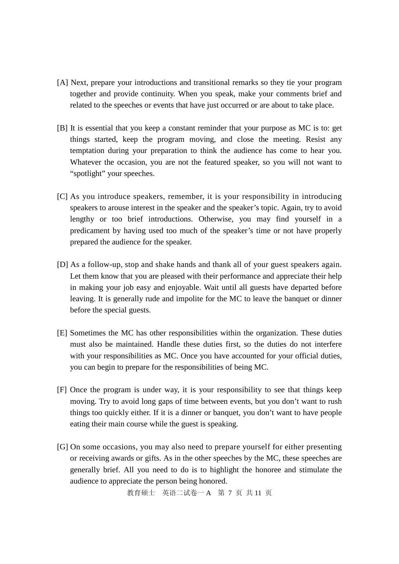- [A] Next, prepare your introductions and transitional remarks so they tie your program together and provide continuity. When you speak, make your comments brief and related to the speeches or events that have just occurred or are about to take place.
- [B] It is essential that you keep a constant reminder that your purpose as MC is to: get things started, keep the program moving, and close the meeting. Resist any temptation during your preparation to think the audience has come to hear you. Whatever the occasion, you are not the featured speaker, so you will not want to "spotlight" your speeches.
- [C] As you introduce speakers, remember, it is your responsibility in introducing speakers to arouse interest in the speaker and the speaker's topic. Again, try to avoid lengthy or too brief introductions. Otherwise, you may find yourself in a predicament by having used too much of the speaker's time or not have properly prepared the audience for the speaker.
- [D] As a follow-up, stop and shake hands and thank all of your guest speakers again. Let them know that you are pleased with their performance and appreciate their help in making your job easy and enjoyable. Wait until all guests have departed before leaving. It is generally rude and impolite for the MC to leave the banquet or dinner before the special guests.
- [E] Sometimes the MC has other responsibilities within the organization. These duties must also be maintained. Handle these duties first, so the duties do not interfere with your responsibilities as MC. Once you have accounted for your official duties, you can begin to prepare for the responsibilities of being MC.
- [F] Once the program is under way, it is your responsibility to see that things keep moving. Try to avoid long gaps of time between events, but you don't want to rush things too quickly either. If it is a dinner or banquet, you don't want to have people eating their main course while the guest is speaking.
- [G] On some occasions, you may also need to prepare yourself for either presenting or receiving awards or gifts. As in the other speeches by the MC, these speeches are generally brief. All you need to do is to highlight the honoree and stimulate the audience to appreciate the person being honored.

教育硕士 英语二试卷一 A 第 7 页 共 11 页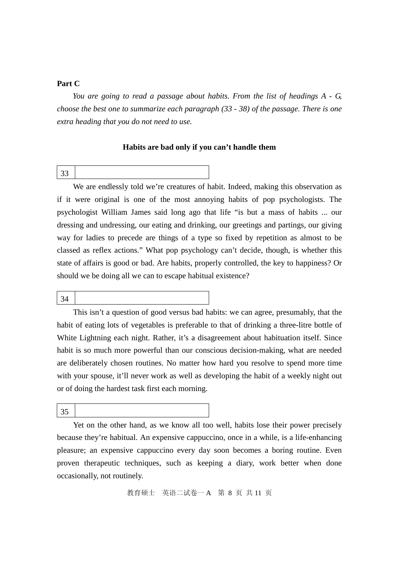### **Part C**

*You are going to read a passage about habits. From the list of headings A - G, choose the best one to summarize each paragraph (33 - 38) of the passage. There is one extra heading that you do not need to use.*

### **Habits are bad only if you can't handle them**

33

We are endlessly told we're creatures of habit. Indeed, making this observation as if it were original is one of the most annoying habits of pop psychologists. The psychologist William James said long ago that life "is but a mass of habits ... our dressing and undressing, our eating and drinking, our greetings and partings, our giving way for ladies to precede are things of a type so fixed by repetition as almost to be classed as reflex actions." What pop psychology can't decide, though, is whether this state of affairs is good or bad. Are habits, properly controlled, the key to happiness? Or should we be doing all we can to escape habitual existence?

34

This isn't a question of good versus bad habits: we can agree, presumably, that the habit of eating lots of vegetables is preferable to that of drinking a three-litre bottle of White Lightning each night. Rather, it's a disagreement about habituation itself. Since habit is so much more powerful than our conscious decision-making, what are needed are deliberately chosen routines. No matter how hard you resolve to spend more time with your spouse, it'll never work as well as developing the habit of a weekly night out or of doing the hardest task first each morning.

35

Yet on the other hand, as we know all too well, habits lose their power precisely because they're habitual. An expensive cappuccino, once in a while, is a life-enhancing pleasure; an expensive cappuccino every day soon becomes a boring routine. Even proven therapeutic techniques, such as keeping a diary, work better when done occasionally, not routinely.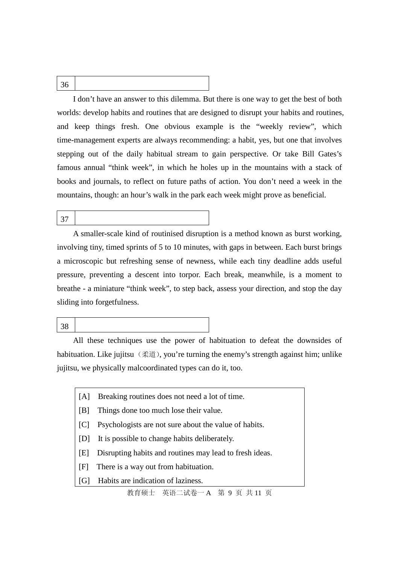I don't have an answer to this dilemma. But there is one way to get the best of both worlds: develop habits and routines that are designed to disrupt your habits and routines, and keep things fresh. One obvious example is the "weekly review", which time-management experts are always recommending: a habit, yes, but one that involves stepping out of the daily habitual stream to gain perspective. Or take Bill Gates's famous annual "think week", in which he holes up in the mountains with a stack of books and journals, to reflect on future paths of action. You don't need a week in the mountains, though: an hour's walk in the park each week might prove as beneficial.

37

A smaller-scale kind of routinised disruption is a method known as burst working, involving tiny, timed sprints of 5 to 10 minutes, with gaps in between. Each burst brings a microscopic but refreshing sense of newness, while each tiny deadline adds useful pressure, preventing a descent into torpor. Each break, meanwhile, is a moment to breathe - a miniature "think week", to step back, assess your direction, and stop the day sliding into forgetfulness.

38

All these techniques use the power of habituation to defeat the downsides of habituation. Like jujitsu (柔道), you're turning the enemy's strength against him; unlike jujitsu, we physically malcoordinated types can do it, too.

- [A] Breaking routines does not need a lot of time.
- [B] Things done too much lose their value.
- [C] Psychologists are not sure about the value of habits.
- [D] It is possible to change habits deliberately.
- [E] Disrupting habits and routines may lead to fresh ideas.
- [F] There is a way out from habituation.
- [G] Habits are indication of laziness.

教育硕士 英语二试卷一 A 第 9 页 共 11 页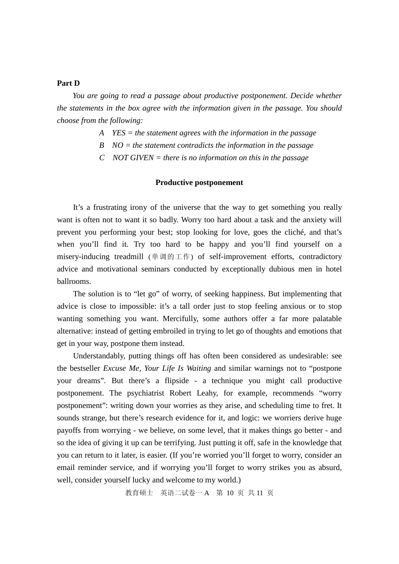#### **Part D**

*You are going to read a passage about productive postponement. Decide whether the statements in the box agree with the information given in the passage. You should choose from the following:*

- *A YES = the statement agrees with the information in the passage*
- *B NO = the statement contradicts the information in the passage*
- *C NOT GIVEN = there is no information on this in the passage*

### **Productive postponement**

It's a frustrating irony of the universe that the way to get something you really want is often not to want it so badly. Worry too hard about a task and the anxiety will prevent you performing your best; stop looking for love, goes the cliché, and that's when you'll find it. Try too hard to be happy and you'll find yourself on a misery-inducing treadmill (单调的工作) of self-improvement efforts, contradictory advice and motivational seminars conducted by exceptionally dubious men in hotel ballrooms.

The solution is to "let go" of worry, of seeking happiness. But implementing that advice is close to impossible: it's a tall order just to stop feeling anxious or to stop wanting something you want. Mercifully, some authors offer a far more palatable alternative: instead of getting embroiled in trying to let go of thoughts and emotions that get in your way, postpone them instead.

Understandably, putting things off has often been considered as undesirable: see the bestseller *Excuse Me, Your Life Is Waiting* and similar warnings not to "postpone your dreams". But there's a flipside - a technique you might call productive postponement. The psychiatrist Robert Leahy, for example, recommends "worry postponement": writing down your worries as they arise, and scheduling time to fret. It sounds strange, but there's research evidence for it, and logic: we worriers derive huge payoffs from worrying - we believe, on some level, that it makes things go better - and so the idea of giving it up can be terrifying. Just putting it off, safe in the knowledge that you can return to it later, is easier. (If you're worried you'll forget to worry, consider an email reminder service, and if worrying you'll forget to worry strikes you as absurd, well, consider yourself lucky and welcome to my world.)

教育硕士 英语二试卷一 A 第 10 页 共 11 页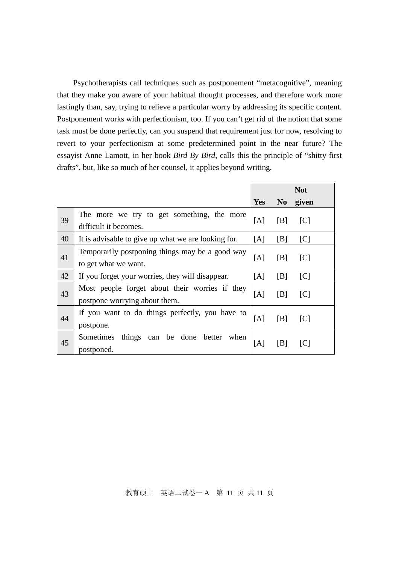Psychotherapists call techniques such as postponement "metacognitive", meaning that they make you aware of your habitual thought processes, and therefore work more lastingly than, say, trying to relieve a particular worry by addressing its specific content. Postponement works with perfectionism, too. If you can't get rid of the notion that some task must be done perfectly, can you suspend that requirement just for now, resolving to revert to your perfectionism at some predetermined point in the near future? The essayist Anne Lamott, in her book *Bird By Bird*, calls this the principle of "shitty first drafts", but, like so much of her counsel, it applies beyond writing.

|    |                                                                                 | <b>Not</b> |                |                   |
|----|---------------------------------------------------------------------------------|------------|----------------|-------------------|
|    |                                                                                 | <b>Yes</b> | N <sub>0</sub> | given             |
| 39 | The more we try to get something, the more<br>difficult it becomes.             | [A]        | [B]            | $\lceil C \rceil$ |
| 40 | It is advisable to give up what we are looking for.                             | [A]        | [B]            | [C]               |
| 41 | Temporarily postponing things may be a good way<br>to get what we want.         | [A]        | [B]            | $\lceil C \rceil$ |
| 42 | If you forget your worries, they will disappear.                                | [A]        | [B]            | [C]               |
| 43 | Most people forget about their worries if they<br>postpone worrying about them. | [A]        | [B]            | $\lceil C \rceil$ |
| 44 | If you want to do things perfectly, you have to<br>postpone.                    | [A]        | [B]            | $\lceil C \rceil$ |
| 45 | things<br>Sometimes<br>be<br>done<br>when<br>can<br>better<br>postponed.        | [A]        | [B]            | $\lceil C \rceil$ |

### 教育硕士 英语二试卷一 A 第 11 页 共 11 页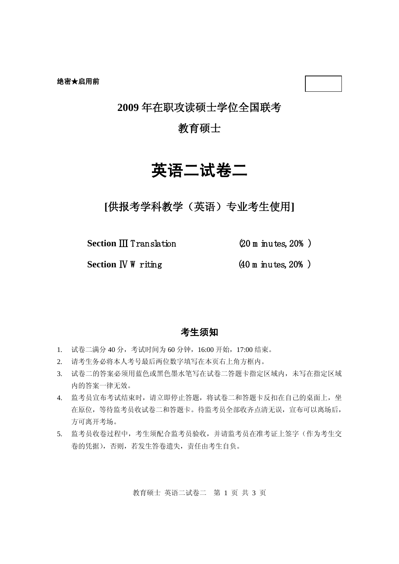### **2009** 年在职攻读硕士学位全国联考

### 教育硕士

# 英语二试卷二

**[**供报考学科教学(英语)专业考生使用**]**

**Section** Ⅲ Translation (20 m inutes, 20% )

**Section IV W** riting (40 m inutes, 20%)

### 考生须知

- 1. 试卷二满分 40 分,考试时间为 60 分钟,16:00 开始,17:00 结束。
- 2. 请考生务必将本人考号最后两位数字填写在本页右上角方框内。
- 3. 试卷二的答案必须用蓝色或黑色墨水笔写在试卷二答题卡指定区域内,未写在指定区域 内的答案一律无效。
- 4. 监考员宣布考试结束时,请立即停止答题,将试卷二和答题卡反扣在自己的桌面上,坐 在原位,等待监考员收试卷二和答题卡。待监考员全部收齐点清无误,宣布可以离场后, 方可离开考场。
- 5. 监考员收卷过程中,考生须配合监考员验收,并请监考员在准考证上签字(作为考生交 卷的凭据),否则,若发生答卷遗失,责任由考生自负。

教育硕士 英语二试卷二 第 1 页 共 3 页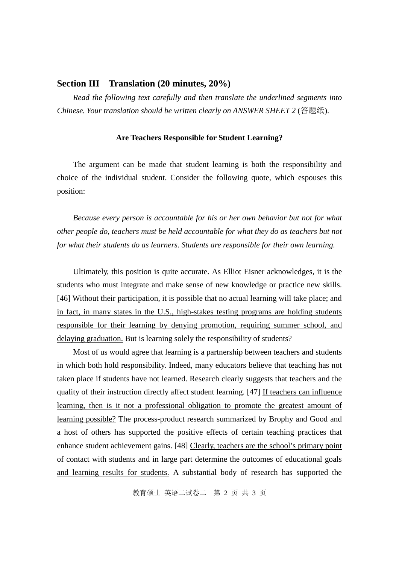### **Section III Translation (20 minutes, 20%)**

*Read the following text carefully and then translate the underlined segments into Chinese. Your translation should be written clearly on ANSWER SHEET 2* (答题纸).

#### **Are Teachers Responsible for Student Learning?**

The argument can be made that student learning is both the responsibility and choice of the individual student. Consider the following quote, which espouses this position:

*Because every person is accountable for his or her own behavior but not for what other people do, teachers must be held accountable for what they do as teachers but not for what their students do as learners. Students are responsible for their own learning.*

Ultimately, this position is quite accurate. As Elliot Eisner acknowledges, it is the students who must integrate and make sense of new knowledge or practice new skills. [46] Without their participation, it is possible that no actual learning will take place; and in fact, in many states in the U.S., high-stakes testing programs are holding students responsible for their learning by denying promotion, requiring summer school, and delaying graduation. But is learning solely the responsibility of students?

Most of us would agree that learning is a partnership between teachers and students in which both hold responsibility. Indeed, many educators believe that teaching has not taken place if students have not learned. Research clearly suggests that teachers and the quality of their instruction directly affect student learning. [47] If teachers can influence learning, then is it not a professional obligation to promote the greatest amount of learning possible? The process-product research summarized by Brophy and Good and a host of others has supported the positive effects of certain teaching practices that enhance student achievement gains. [48] Clearly, teachers are the school's primary point of contact with students and in large part determine the outcomes of educational goals and learning results for students. A substantial body of research has supported the

教育硕士 英语二试卷二 第 2 页 共 3 页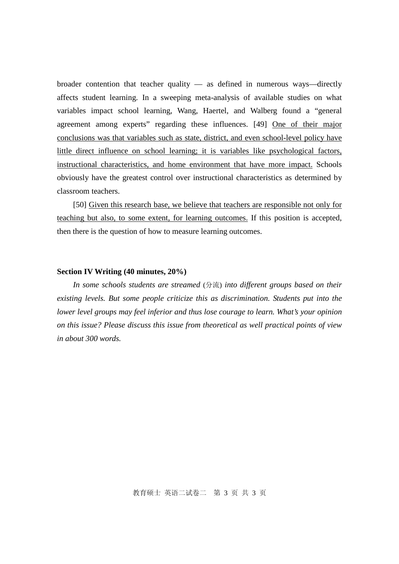broader contention that teacher quality — as defined in numerous ways—directly affects student learning. In a sweeping meta-analysis of available studies on what variables impact school learning, Wang, Haertel, and Walberg found a "general agreement among experts" regarding these influences. [49] One of their major conclusions was that variables such as state, district, and even school-level policy have little direct influence on school learning; it is variables like psychological factors, instructional characteristics, and home environment that have more impact. Schools obviously have the greatest control over instructional characteristics as determined by classroom teachers.

[50] Given this research base, we believe that teachers are responsible not only for teaching but also, to some extent, for learning outcomes. If this position is accepted, then there is the question of how to measure learning outcomes.

#### **Section IV Writing (40 minutes, 20%)**

*In some schools students are streamed* (分流) *into different groups based on their existing levels. But some people criticize this as discrimination. Students put into the lower level groups may feel inferior and thus lose courage to learn. What's your opinion on this issue? Please discuss this issue from theoretical as well practical points of view in about 300 words.*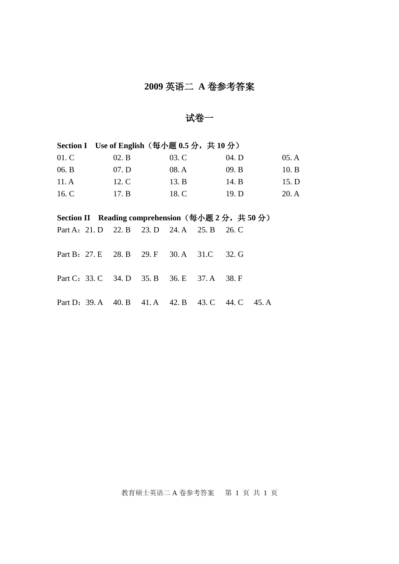## **2009** 英语二 **A** 卷参考答案

试卷一

| Section I Use of English (每小题 0.5 分, 共 10 分)                                                                 |  |       |                   |       |       |       |       |       |
|--------------------------------------------------------------------------------------------------------------|--|-------|-------------------|-------|-------|-------|-------|-------|
| 01.C                                                                                                         |  | 02. B |                   | 03. C |       | 04. D |       | 05.A  |
| 06. B                                                                                                        |  | 07. D |                   | 08. A |       | 09. B |       | 10.B  |
| 11.A                                                                                                         |  | 12. C |                   | 13. B |       | 14. B |       | 15. D |
| 16. C                                                                                                        |  | 17. B |                   | 18. C |       | 19. D |       | 20.A  |
|                                                                                                              |  |       |                   |       |       |       |       |       |
| Section II Reading comprehension $(\frac{61}{10}, \frac{160}{10}, \frac{1}{10}, \frac{1}{10}, \frac{1}{10})$ |  |       |                   |       |       |       |       |       |
| Part A: 21. D 22. B 23. D 24. A 25. B                                                                        |  |       |                   |       |       | 26. C |       |       |
|                                                                                                              |  |       |                   |       |       |       |       |       |
| Part B: 27. E 28. B 29. F 30. A 31. C                                                                        |  |       |                   |       |       | 32. G |       |       |
|                                                                                                              |  |       |                   |       |       |       |       |       |
| Part C: 33. C 34. D 35. B 36. E                                                                              |  |       |                   |       | 37. A | 38. F |       |       |
|                                                                                                              |  |       |                   |       |       |       |       |       |
| Part D: 39. A 40. B                                                                                          |  |       | 41. A 42. B 43. C |       |       | 44. C | 45. A |       |